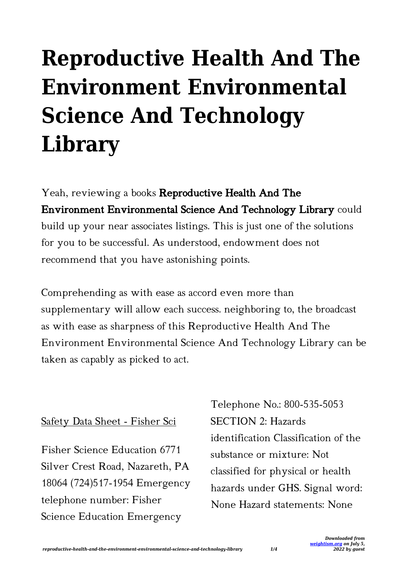# **Reproductive Health And The Environment Environmental Science And Technology Library**

Yeah, reviewing a books Reproductive Health And The Environment Environmental Science And Technology Library could build up your near associates listings. This is just one of the solutions for you to be successful. As understood, endowment does not recommend that you have astonishing points.

Comprehending as with ease as accord even more than supplementary will allow each success. neighboring to, the broadcast as with ease as sharpness of this Reproductive Health And The Environment Environmental Science And Technology Library can be taken as capably as picked to act.

### Safety Data Sheet - Fisher Sci

Fisher Science Education 6771 Silver Crest Road, Nazareth, PA 18064 (724)517-1954 Emergency telephone number: Fisher Science Education Emergency

Telephone No.: 800-535-5053 SECTION 2: Hazards identification Classification of the substance or mixture: Not classified for physical or health hazards under GHS. Signal word: None Hazard statements: None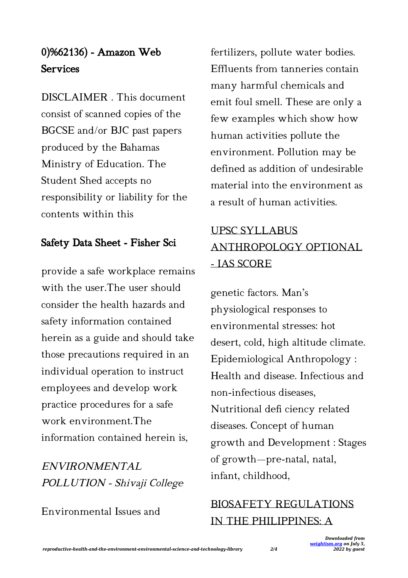## 0)%62136) - Amazon Web **Services**

DISCLAIMER . This document consist of scanned copies of the BGCSE and/or BJC past papers produced by the Bahamas Ministry of Education. The Student Shed accepts no responsibility or liability for the contents within this

## Safety Data Sheet - Fisher Sci

provide a safe workplace remains with the user.The user should consider the health hazards and safety information contained herein as a guide and should take those precautions required in an individual operation to instruct employees and develop work practice procedures for a safe work environment.The information contained herein is,

ENVIRONMENTAL POLLUTION - Shivaji College

Environmental Issues and

fertilizers, pollute water bodies. Effluents from tanneries contain many harmful chemicals and emit foul smell. These are only a few examples which show how human activities pollute the environment. Pollution may be defined as addition of undesirable material into the environment as a result of human activities.

# UPSC SYLLABUS ANTHROPOLOGY OPTIONAL - IAS SCORE

genetic factors. Man's physiological responses to environmental stresses: hot desert, cold, high altitude climate. Epidemiological Anthropology : Health and disease. Infectious and non-infectious diseases, Nutritional defi ciency related diseases. Concept of human growth and Development : Stages of growth—pre-natal, natal, infant, childhood,

## BIOSAFETY REGULATIONS IN THE PHILIPPINES: A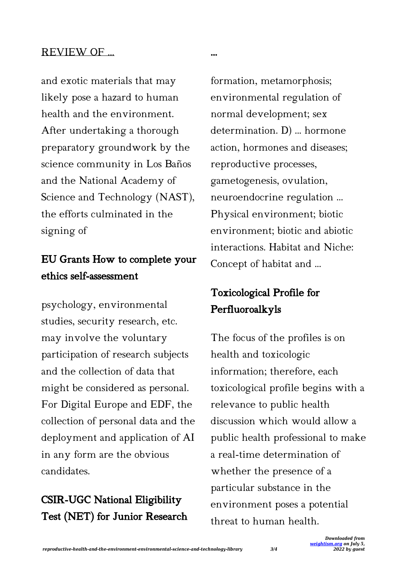#### REVIEW OF …

and exotic materials that may likely pose a hazard to human health and the environment. After undertaking a thorough preparatory groundwork by the science community in Los Baños and the National Academy of Science and Technology (NAST), the efforts culminated in the signing of

## EU Grants How to complete your ethics self-assessment

psychology, environmental studies, security research, etc. may involve the voluntary participation of research subjects and the collection of data that might be considered as personal. For Digital Europe and EDF, the collection of personal data and the deployment and application of AI in any form are the obvious candidates.

## CSIR-UGC National Eligibility Test (NET) for Junior Research

formation, metamorphosis; environmental regulation of normal development; sex determination. D) ... hormone action, hormones and diseases; reproductive processes, gametogenesis, ovulation, neuroendocrine regulation ... Physical environment; biotic environment; biotic and abiotic interactions. Habitat and Niche: Concept of habitat and ...

…

## Toxicological Profile for Perfluoroalkyls

The focus of the profiles is on health and toxicologic information; therefore, each toxicological profile begins with a relevance to public health discussion which would allow a public health professional to make a real-time determination of whether the presence of a particular substance in the environment poses a potential threat to human health.